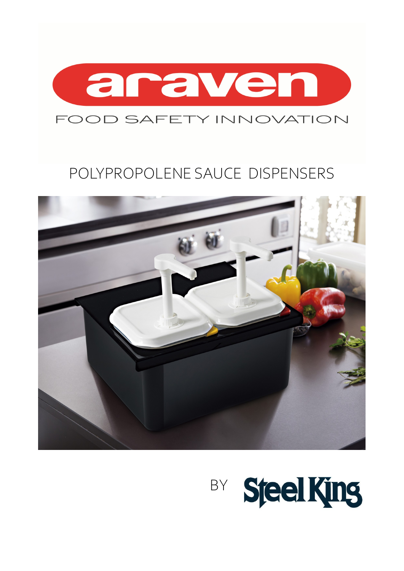

## FOOD SAFETY INNOVATION

## POLYPROPOLENE SAUCE DISPENSERS



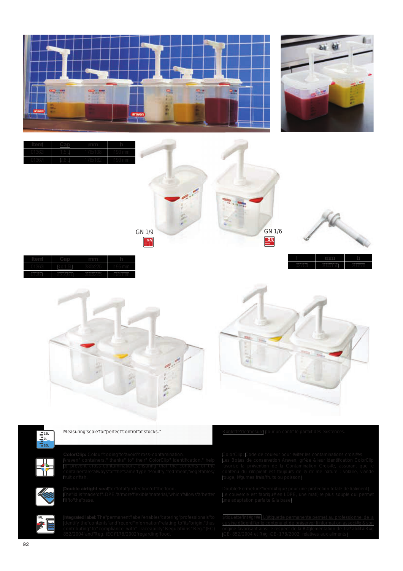



GN 1/9 GN 1/6



02784 300x150 20 mm

|  | ı<br>ı |  |
|--|--------|--|
|  |        |  |
|  |        |  |





H.

Measuring"scale"for"perfect"control"of"stocks.""

Araven" containers," thanks" to" their" ColorClip" identification," help" fruit or"fish.



 $\widehat{\mathcal{E}}$ 

Double airtight seal"for"total"protection"of"the"food.

Integrated label: The"permanent"label"enables"catering"professionals"to



Les Bottes de conservation Araven, gr%ce & leur identification ColorClip

Double"Fermeture"herm#tique pour une protection totale de l(aliment. Le couvercle est fabriqu# en LDPE, une mati)re plus souple qui permet

\$tiquette"int#gr#e: L(#tiquette permanente permet au professionnel de la

cuisine d(identifier le contenu et de pr#server l(information associ#e & son +CE- 852/2004 et R#g +CE- 178/2002 relatives aux aliments.